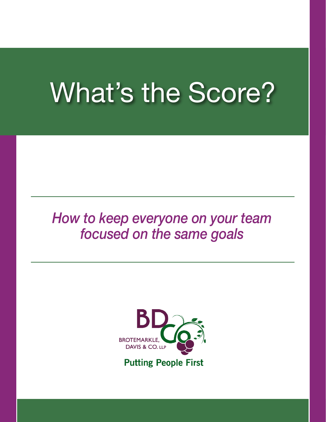# What's the Score?

# *How to keep everyone on your team focused on the same goals*

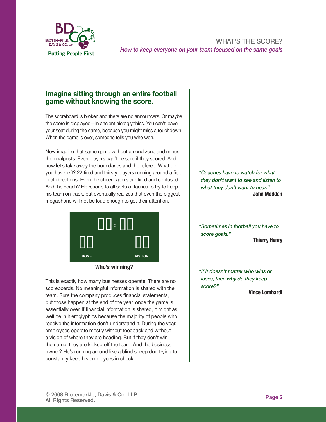

#### Imagine sitting through an entire football game without knowing the score.

The scoreboard is broken and there are no announcers. Or maybe the score is displayed—in ancient hieroglyphics. You can't leave your seat during the game, because you might miss a touchdown. your counting and game, accuracy you magnesine *How to keep everyone on your team focused on the same goals* 

Now imagine that same game without an end zone and minus the goalposts. Even players can't be sure if they scored. And now let's take away the boundaries and the referee. What do you have left? 22 tired and thirsty players running around a field in all directions. Even the cheerleaders are tired and confused.  $\qquad$ And the coach? He resorts to all sorts of tactics to try to keep his team on track, but eventually realizes that even the biggest  $\qquad \qquad \mid$ megaphone will not be loud enough to get their attention. And the coach? He resorts to all sorts of tactics to try to keep the field in all and the cheerleaders. Even the che  $t_{\rm rot}$  can be a discrepance of the biggest measurement of  $t_{\rm rot}$  measurement of  $t_{\rm rot}$ 



#### *Who's winning?*  Who's winning?

This is exactly how many businesses operate. There are no scoreboards. No meaningful This is exactly how many businesses operate. There are no  $\vert$ scoreboards. No meaningful information is shared with the  $\sim$  coordination from the majority of people who received who received  $\sim$ team. Sure the company produces financial statements,  $\qquad \qquad \vert$ but these begans at the and of the year, are a the game is but those happen at the end of the year, once the game is  $|$ essentially over. If financial information is shared, it might as receive the information don't understand it. During the year, employees operate mostly without feedback and without  $\alpha$   $\alpha$ the game, they are kicked off the team. And the business owner? He's running around like a blind sheep dog trying to x Defined rules constantly keep his employees in check. well be in hieroglyphics because the majority of people who a vision of where they are heading. But if they don't win

*"Coaches have to watch for what they don't want to see and listen to what they don't want to hear."* John Madden

*"Sometimes in football you have to score goals."* Thierry Henry

*"If it doesn't matter who wins or loses, then why do they keep score?"*

Vince Lombardi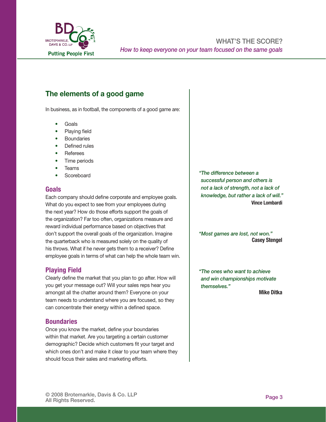

# The elements of a good game

In business, as in football, the components of a good game are:

- Goals •
- Playing field •
- **Boundaries** •
- Defined rules •
- Referees •
- Time periods •
- Teams •
- **Scoreboard** •

#### Goals

Each company should define corporate and employee goals. What do you expect to see from your employees during the next year? How do those efforts support the goals of the organization? Far too often, organizations measure and reward individual performance based on objectives that don't support the overall goals of the organization. Imagine the quarterback who is measured solely on the quality of his throws. What if he never gets them to a receiver? Define employee goals in terms of what can help the whole team win.

#### Playing Field

Clearly define the market that you plan to go after. How will you get your message out? Will your sales reps hear you amongst all the chatter around them? Everyone on your team needs to understand where you are focused, so they can concentrate their energy within a defined space.

#### **Boundaries**

Once you know the market, define your boundaries within that market. Are you targeting a certain customer demographic? Decide which customers fit your target and which ones don't and make it clear to your team where they should focus their sales and marketing efforts.

*"The difference between a successful person and others is not a lack of strength, not a lack of knowledge, but rather a lack of will."* Vince Lombardi

*"Most games are lost, not won."* Casey Stengel

*"The ones who want to achieve and win championships motivate themselves."*

Mike Ditka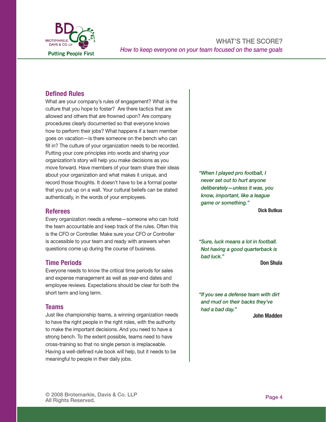

#### Defined Rules

What are your company's rules of engagement? What is the culture that you hope to foster? Are there tactics that are allowed and others that are frowned upon? Are company procedures clearly documented so that everyone knows how to perform their jobs? What happens if a team member goes on vacation—is there someone on the bench who can fill in? The culture of your organization needs to be recorded. Putting your core principles into words and sharing your organization's story will help you make decisions as you move forward. Have members of your team share their ideas about your organization and what makes it unique, and record those thoughts. It doesn't have to be a formal poster that you put up on a wall. Your cultural beliefs can be stated authentically, in the words of your employees.

#### Referees

Every organization needs a referee—someone who can hold the team accountable and keep track of the rules. Often this is the CFO or Controller. Make sure your CFO or Controller is accessible to your team and ready with answers when questions come up during the course of business.

#### Time Periods

Everyone needs to know the critical time periods for sales and expense management as well as year-end dates and employee reviews. Expectations should be clear for both the short term and long term.

#### Teams

Just like championship teams, a winning organization needs to have the right people in the right roles, with the authority to make the important decisions. And you need to have a strong bench. To the extent possible, teams need to have cross-training so that no single person is irreplaceable. Having a well-defined rule book will help, but it needs to be meaningful to people in their daily jobs.

*"When I played pro football, I never set out to hurt anyone deliberately—unless it was, you know, important, like a league game or something."*

Dick Butkus

*"Sure, luck means a lot in football. Not having a good quarterback is bad luck."*

Don Shula

*"If you see a defense team with dirt and mud on their backs they've had a bad day."*

John Madden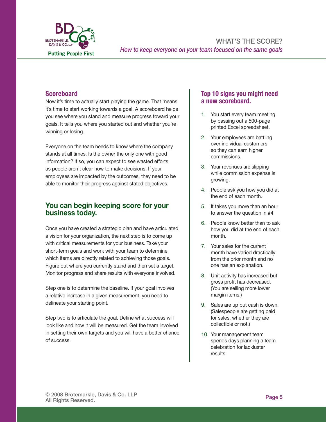

#### **Scoreboard**

Now it's time to actually start playing the game. That means it's time to start working towards a goal. A scoreboard helps you see where you stand and measure progress toward your goals. It tells you where you started out and whether you're winning or losing.

Everyone on the team needs to know where the company stands at all times. Is the owner the only one with good information? If so, you can expect to see wasted efforts as people aren't clear how to make decisions. If your employees are impacted by the outcomes, they need to be able to monitor their progress against stated objectives.

#### You can begin keeping score for your business today.

Once you have created a strategic plan and have articulated a vision for your organization, the next step is to come up with critical measurements for your business. Take your short-term goals and work with your team to determine which items are directly related to achieving those goals. Figure out where you currently stand and then set a target. Monitor progress and share results with everyone involved.

Step one is to determine the baseline. If your goal involves a relative increase in a given measurement, you need to delineate your starting point.

Step two is to articulate the goal. Define what success will look like and how it will be measured. Get the team involved in setting their own targets and you will have a better chance of success.

#### Top 10 signs you might need a new scoreboard.

- 1. You start every team meeting by passing out a 500-page printed Excel spreadsheet.
- 2. Your employees are battling over individual customers so they can earn higher commissions.
- 3. Your revenues are slipping while commission expense is growing.
- 4. People ask you how you did at the end of each month.
- 5. It takes you more than an hour to answer the question in #4.
- 6. People know better than to ask how you did at the end of each month.
- 7. Your sales for the current month have varied drastically from the prior month and no one has an explanation.
- Unit activity has increased but 8. gross profit has decreased. (You are selling more lower margin items.)
- 9. Sales are up but cash is down. (Salespeople are getting paid for sales, whether they are collectible or not.)
- 10. Your management team spends days planning a team celebration for lackluster results.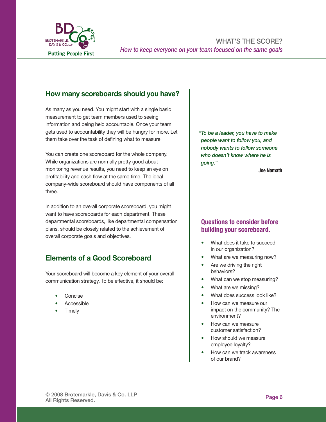

## How many scoreboards should you have?

As many as you need. You might start with a single basic measurement to get team members used to seeing information and being held accountable. Once your team gets used to accountability they will be hungry for more. Let them take over the task of defining what to measure.

You can create one scoreboard for the whole company. While organizations are normally pretty good about monitoring revenue results, you need to keep an eye on profitability and cash flow at the same time. The ideal company-wide scoreboard should have components of all three.

In addition to an overall corporate scoreboard, you might want to have scoreboards for each department. These departmental scoreboards, like departmental compensation plans, should be closely related to the achievement of overall corporate goals and objectives.

# Elements of a Good Scoreboard

Your scoreboard will become a key element of your overall communication strategy. To be effective, it should be:

- Concise •
- Accessible •
- **Timely** •

*"To be a leader, you have to make people want to follow you, and nobody wants to follow someone who doesn't know where he is going."*

Joe Namath

#### Questions to consider before building your scoreboard.

- What does it take to succeed in our organization? •
- What are we measuring now? •
- Are we driving the right behaviors? •
- What can we stop measuring? •
- What are we missing? •
- What does success look like? •
- How can we measure our impact on the community? The environment? •
- How can we measure customer satisfaction? •
- How should we measure employee loyalty? •
- How can we track awareness of our brand? •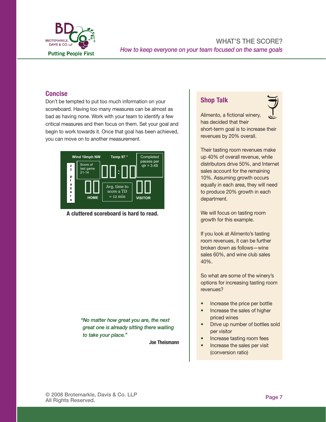

# **Concise**

Don't be tempted to put too much information on your scoreboard. Having too many measures can be almost as bad as having none. Work with your team to identify a few critical measures and then focus on them. Set your goal and begin to work towards it. Once that goal has been achieved, **having the state** to you can move on to another measurement. port be to **Concise**  $c_{\text{SFR}}$  begin to work towards it. Once that you has been achieved,  $\mathcal{L}_{\mathcal{A}}$  achieved, you can move on to another measurement.



*A cluttered scoreboard is hard to read.*  A cluttered scoreboard is hard to read.

the organization needs information so they can move in the right direction. If there are measurements that are needed by management only, provide them. But also decide what

> *"No matter how great you are, the next great one is already sitting there waiting to take your place."*

> > Joe Theismann

### Shop Talk



Alimento, a fictional winery, has decided that their short-term goal is to increase their revenues by 20% overall.

Their tasting room revenues make up 40% of overall revenue, while distributors drive 50%, and Internet sales account for the remaining 10%. Assuming growth occurs equally in each area, they will need to produce 20% growth in each department.

We will focus on tasting room growth for this example.

If you look at Alimento's tasting room revenues, it can be further broken down as follows—wine sales 60%, and wine club sales 40%.  $M_{\rm{max}}$  report that is provided only to key management. But every only to key management. But every only to key management. But every only to key management. But every only to key management. But every only to key manag  $\mathbf{r}$  information to every one on  $\mathbf{r}$ begin every morning by telling store employees the sales target for the day and then share updated results twice a day. Everyone knows where they stand and the standard standard and the standard standard and the standard standard standard standard standard standard standard standard standard standard standard st  $\frac{100}{\sqrt{2}}$ 

> So what are some of the winery's options for increasing tasting room revenues?

- Increase the price per bottle •
- Increase the sales of higher priced wines •
- Drive up number of bottles sold per visitor •
- Increase tasting room fees •
- Increase the sales per visit (conversion ratio) •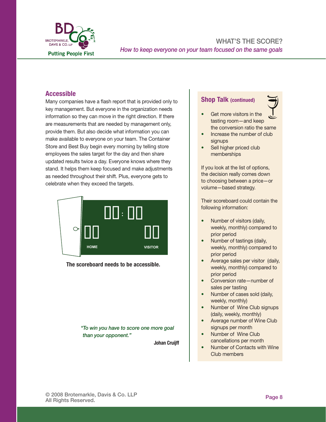

#### Accessible

Many companies have a flash report that is provided only to key management. But everyone in the organization needs information so they can move in the right direction. If there are measurements that are needed by management only, provide them. But also decide what information you can make available to everyone on your team. The Container Store and Best Buy begin every morning by telling store employees the sales target for the day and then share updated results twice a day. Everyone knows where they stand. It helps them keep focused and make adjustments as needed throughout their shift. Plus, everyone gets to celebrate when they exceed the targets.



The scoreboard needs to be accessible.

*"To win you have to score one more goal than your opponent."*

Johan Cruijff

#### Shop Talk (continued)



- Get more visitors in the tasting room—and keep the conversion ratio the same •
- Increase the number of club signups •
- Sell higher priced club memberships •

If you look at the list of options, the decision really comes down to choosing between a price—or volume—based strategy.

Their scoreboard could contain the following information:

- Number of visitors (daily, weekly, monthly) compared to prior period •
- Number of tastings (daily, weekly, monthly) compared to prior period •
- Average sales per visitor (daily, weekly, monthly) compared to prior period •
- Conversion rate—number of sales per tasting •
- Number of cases sold (daily, weekly, monthly)
- Number of Wine Club signups (daily, weekly, monthly) •
- Average number of Wine Club signups per month •
- Number of Wine Club cancellations per month •
- Number of Contacts with Wine Club members •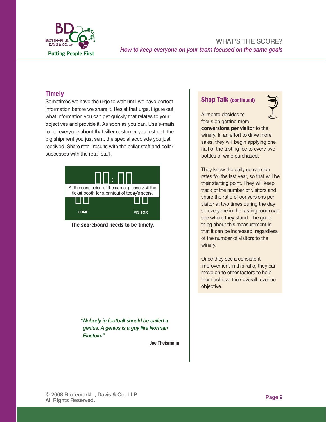

#### **Imagine sitting through an entire football game with the score.**  $\mathbf{r} = \mathbf{r} \cdot \mathbf{r}$

Sometimes we have the urge to wait until we have perfect information before we share it. Resist that urge. Figure out what information you can get quickly that relates to your seatled point of point of point might might might mi objectives and provide it. As soon as you can. Use e-mails to tell everyone about that killer customer you just got, the  $\begin{array}{c} \hline \end{array}$ big shipment you just sent, the special accolade you just received. Share retail results with the cellar staff and cellar successes with the retail staff. big shipment you just sent, the special accolade you just **the cheerleader**  $t_{\text{total}}$  resolved. Once the biggest means that even the biggest means  $t_{\text{total}}$ 



**The scoreboard needs to be timely.** 

information is shared with the team. Sure the company produces financial statements, but those

it might as well be in hieroglyphics because the majority of people who receive the information don't understand it. During the year, employees operate mostly without feedback and without a

the business owner? He's running around like a blind sheep dog trying to constantly keep his

*"Nobody in football should be called a genius. A genius is a guy like Norman Einstein."*

Joe Theismann

#### Shop Talk (continued)



Alimento decides to focus on getting more

conversions per visitor to the winery. In an effort to drive more sales, they will begin applying one half of the tasting fee to every two bottles of wine purchased.

happen at the end of the end of the game is essentially over. If is essential information is essential information in They know the daily conversion rates for the last year, so that will be their starting point. They will keep track of the number of visitors and share the ratio of conversions per visitor at two times during the day so everyone in the tasting room can see where they stand. The good thing about this measurement is that it can be increased, regardless of the number of visitors to the winery.

vision of where they are heading. But if they don't win the game, they are kicked off they are kicked off the team. And they are kicked of the team. And they are kicked of the team. And they are kicked of the team. And th Once they see a consistent improvement in this ratio, they can move on to other factors to help them achieve their overall revenue objective.